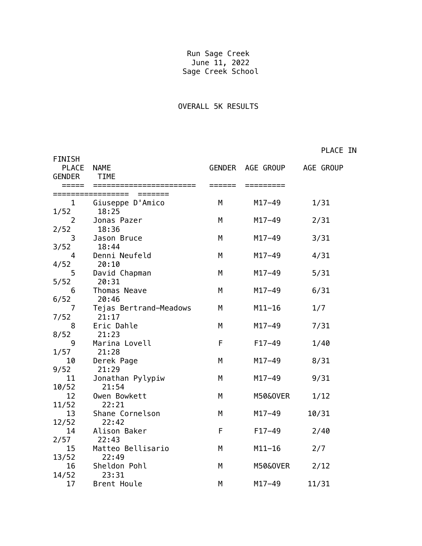## Run Sage Creek June 11, 2022 Sage Creek School

## OVERALL 5K RESULTS

PLACE IN

| <b>FINISH</b><br><b>PLACE</b><br><b>GENDER</b> | <b>NAME</b><br><b>TIME</b> |   | GENDER AGE GROUP AGE GROUP |       |
|------------------------------------------------|----------------------------|---|----------------------------|-------|
|                                                |                            |   |                            |       |
| $\mathbf{1}$                                   | Giuseppe D'Amico           | M | $M17 - 49$                 | 1/31  |
| 1/52<br>$\overline{2}$                         | 18:25<br>Jonas Pazer       | M | $M17 - 49$                 | 2/31  |
| 2/52                                           | 18:36                      |   |                            |       |
| 3                                              | Jason Bruce                | M | $M17 - 49$                 | 3/31  |
| 3/52                                           | 18:44                      |   |                            |       |
| 4                                              | Denni Neufeld              | M | $M17 - 49$                 | 4/31  |
| 4/52                                           | 20:10                      |   |                            |       |
| 5                                              | David Chapman              | M | $M17 - 49$                 | 5/31  |
| 5/52                                           | 20:31                      |   |                            |       |
| 6                                              | Thomas Neave               | M | $M17 - 49$                 | 6/31  |
| 6/52                                           | 20:46                      |   |                            |       |
| 7                                              | Tejas Bertrand-Meadows     | М | $M11-16$                   | 1/7   |
| 7/52                                           | 21:17                      |   |                            |       |
| 8                                              | Eric Dahle                 | M | $M17 - 49$                 | 7/31  |
| 8/52                                           | 21:23                      |   |                            |       |
| 9                                              | Marina Lovell              | F | $F17-49$                   | 1/40  |
| 1/57                                           | 21:28                      |   |                            |       |
| 10                                             | Derek Page                 | M | $M17 - 49$                 | 8/31  |
| 9/52<br>11                                     | 21:29<br>Jonathan Pylypiw  | M | $M17 - 49$                 | 9/31  |
| 10/52                                          | 21:54                      |   |                            |       |
| 12                                             | Owen Bowkett               | M | M50&0VER                   | 1/12  |
| 11/52                                          | 22:21                      |   |                            |       |
| 13                                             | Shane Cornelson            | M | $M17 - 49$                 | 10/31 |
| 12/52                                          | 22:42                      |   |                            |       |
| 14                                             | Alison Baker               | F | $F17-49$                   | 2/40  |
| 2/57                                           | 22:43                      |   |                            |       |
| 15                                             | Matteo Bellisario          | M | $M11 - 16$                 | 2/7   |
| 13/52                                          | 22:49                      |   |                            |       |
| 16                                             | Sheldon Pohl               | Μ | M50&0VER                   | 2/12  |
| 14/52                                          | 23:31                      |   |                            |       |
| 17                                             | Brent Houle                | M | $M17 - 49$                 | 11/31 |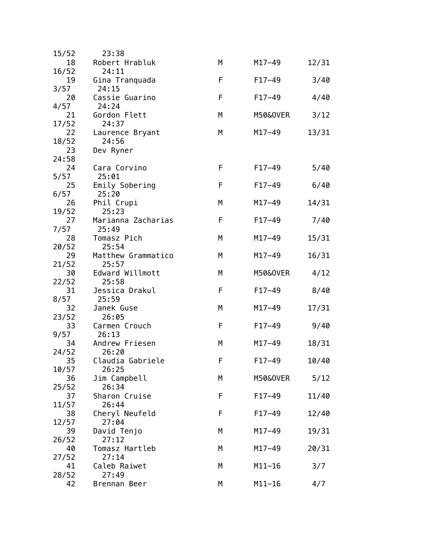| 15/52 | 23:38              |   |            |       |
|-------|--------------------|---|------------|-------|
| 18    | Robert Hrabluk     | M | $M17 - 49$ | 12/31 |
| 16/52 | 24:11              |   |            |       |
| 19    | Gina Tranquada     | F | $F17-49$   | 3/40  |
| 3/57  | 24:15              |   |            |       |
| 20    | Cassie Guarino     | F | $F17-49$   | 4/40  |
| 4/57  | 24:24              |   |            |       |
| 21    | Gordon Flett       | М | M50&0VER   | 3/12  |
| 17/52 | 24:37              |   |            |       |
| 22    | Laurence Bryant    | М | $M17 - 49$ | 13/31 |
| 18/52 | 24:56              |   |            |       |
| 23    | Dev Ryner          |   |            |       |
| 24:58 |                    |   |            |       |
| 24    | Cara Corvino       | F | $F17-49$   | 5/40  |
| 5/57  | 25:01              |   |            |       |
| 25    | Emily Sobering     | F | $F17-49$   | 6/40  |
| 6/57  | 25:20              |   |            |       |
| 26    | Phil Crupi         | M | $M17 - 49$ | 14/31 |
| 19/52 | 25:23              |   |            |       |
| 27    | Marianna Zacharias | F | $F17-49$   | 7/40  |
| 7/57  | 25:49              |   |            |       |
| 28    | Tomasz Pich        | M | $M17 - 49$ | 15/31 |
| 20/52 | 25:54              |   |            |       |
| 29    | Matthew Grammatico | М | $M17 - 49$ | 16/31 |
| 21/52 | 25:57              |   |            |       |
| 30    | Edward Willmott    | М | M50&0VER   | 4/12  |
| 22/52 | 25:58              |   |            |       |
| 31    | Jessica Drakul     | F | $F17-49$   | 8/40  |
| 8/57  | 25:59              |   |            |       |
| 32    | Janek Guse         | М | $M17 - 49$ | 17/31 |
| 23/52 | 26:05              |   |            |       |
| 33    | Carmen Crouch      | F | $F17-49$   | 9/40  |
| 9/57  | 26:13              |   |            |       |
| 34    | Andrew Friesen     | M | $M17 - 49$ | 18/31 |
| 24/52 | 26:20              |   |            |       |
| 35    | Claudia Gabriele   | F | $F17-49$   | 10/40 |
| 10/57 | 26:25              |   |            |       |
| 36    | Jim Campbell       | М | M50&0VER   | 5/12  |
| 25/52 | 26:34              |   |            |       |
| 37    | Sharon Cruise      | F | $F17-49$   | 11/40 |
| 11/57 | 26:44              |   |            |       |
| 38    | Cheryl Neufeld     | F | $F17-49$   | 12/40 |
| 12/57 | 27:04              |   |            |       |
| 39    | David Tenjo        | М | $M17 - 49$ | 19/31 |
| 26/52 | 27:12              |   |            |       |
| 40    | Tomasz Hartleb     | М | $M17 - 49$ | 20/31 |
| 27/52 | 27:14              |   |            |       |
| 41    | Caleb Raiwet       | М | $M11-16$   | 3/7   |
| 28/52 | 27:49              |   |            |       |
| 42    | Brennan Beer       | М | $M11 - 16$ | 4/7   |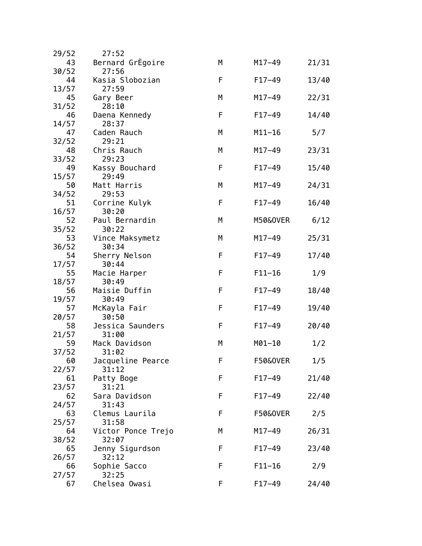| 29/52       | 27:52                   |   |                     |       |
|-------------|-------------------------|---|---------------------|-------|
| 43          | Bernard GrEgoire        | М | $M17 - 49$          | 21/31 |
| 30/52       | 27:56                   |   |                     |       |
| 44          | Kasia Slobozian         | F | $F17-49$            | 13/40 |
| 13/57       | 27:59                   |   |                     |       |
| 45          | Gary Beer               | М | $M17 - 49$          | 22/31 |
| 31/52       | 28:10                   |   |                     |       |
| 46          | Daena Kennedy           | F | $F17-49$            | 14/40 |
| 14/57       | 28:37                   |   |                     |       |
| 47<br>32/52 | Caden Rauch<br>29:21    | М | $M11 - 16$          | 5/7   |
| 48          | Chris Rauch             | М | $M17 - 49$          | 23/31 |
| 33/52       | 29:23                   |   |                     |       |
| 49          | Kassy Bouchard          | F | $F17-49$            | 15/40 |
| 15/57       | 29:49                   |   |                     |       |
| 50          | Matt Harris             | M | $M17 - 49$          | 24/31 |
| 34/52       | 29:53                   |   |                     |       |
| 51          | Corrine Kulyk           | F | $F17-49$            | 16/40 |
| 16/57       | 30:20                   |   |                     |       |
| 52          | Paul Bernardin          | М | M50&0VER            | 6/12  |
| 35/52       | 30:22                   |   |                     |       |
| 53          | Vince Maksymetz         | М | $M17 - 49$          | 25/31 |
| 36/52       | 30:34                   |   |                     |       |
| 54          | Sherry Nelson           | F | $F17-49$            | 17/40 |
| 17/57       | 30:44                   |   |                     |       |
| 55          | Macie Harper            | F | $F11 - 16$          | 1/9   |
| 18/57<br>56 | 30:49<br>Maisie Duffin  | F | $F17-49$            | 18/40 |
| 19/57       | 30:49                   |   |                     |       |
| 57          | McKayla Fair            | F | $F17-49$            | 19/40 |
| 20/57       | 30:50                   |   |                     |       |
| 58          | Jessica Saunders        | F | $F17-49$            | 20/40 |
| 21/57       | 31:00                   |   |                     |       |
| 59          | Mack Davidson           | М | $M01 - 10$          | 1/2   |
| 37/52       | 31:02                   |   |                     |       |
| 60          | Jacqueline Pearce       | F | F50&0VER            | 1/5   |
| 22/57       | 31:12                   |   |                     |       |
| 61          | Patty Boge              | F | $F17-49$            | 21/40 |
| 23/57       | 31:21                   |   |                     |       |
| 62          | Sara Davidson           | F | $F17-49$            | 22/40 |
| 24/57       | 31:43                   |   |                     |       |
| 63          | Clemus Laurila<br>31:58 | F | <b>F50&amp;OVER</b> | 2/5   |
| 25/57<br>64 | Victor Ponce Trejo      | М | $M17 - 49$          | 26/31 |
| 38/52       | 32:07                   |   |                     |       |
| 65          | Jenny Sigurdson         | F | $F17-49$            | 23/40 |
| 26/57       | 32:12                   |   |                     |       |
| 66          | Sophie Sacco            | F | $F11 - 16$          | 2/9   |
| 27/57       | 32:25                   |   |                     |       |
| 67          | Chelsea Owasi           | F | $F17-49$            | 24/40 |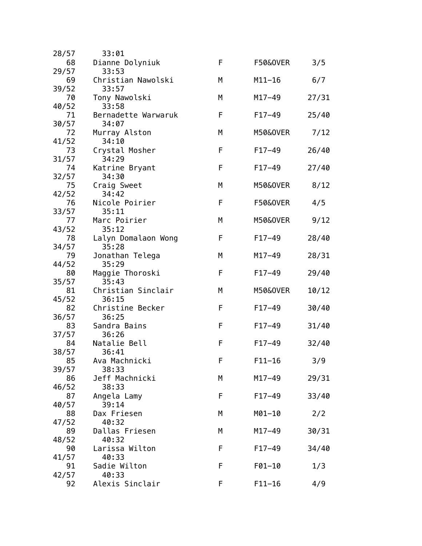| 28/57       | 33:01                       |   |                     |       |
|-------------|-----------------------------|---|---------------------|-------|
| 68          | Dianne Dolyniuk             | F | <b>F50&amp;OVER</b> | 3/5   |
| 29/57       | 33:53                       |   |                     |       |
| 69          | Christian Nawolski          | М | $M11 - 16$          | 6/7   |
| 39/52       | 33:57                       |   |                     |       |
| 70          | Tony Nawolski               | М | $M17 - 49$          | 27/31 |
| 40/52       | 33:58                       |   |                     |       |
| 71          | Bernadette Warwaruk         | F | $F17-49$            | 25/40 |
| 30/57<br>72 | 34:07<br>Murray Alston      | M | M50&0VER            | 7/12  |
| 41/52       | 34:10                       |   |                     |       |
| 73          | Crystal Mosher              | F | $F17-49$            | 26/40 |
| 31/57       | 34:29                       |   |                     |       |
| 74          | Katrine Bryant              | F | $F17-49$            | 27/40 |
| 32/57       | 34:30                       |   |                     |       |
| 75          | Craig Sweet                 | М | M50&0VER            | 8/12  |
| 42/52       | 34:42                       |   |                     |       |
| 76          | Nicole Poirier              | F | <b>F50&amp;OVER</b> | 4/5   |
| 33/57       | 35:11                       |   |                     |       |
| 77          | Marc Poirier                | М | M50&0VER            | 9/12  |
| 43/52       | 35:12                       |   |                     |       |
| 78          | Lalyn Domalaon Wong         | F | $F17-49$            | 28/40 |
| 34/57       | 35:28                       |   |                     |       |
| 79          | Jonathan Telega             | M | $M17 - 49$          | 28/31 |
| 44/52       | 35:29                       |   |                     |       |
| 80          | Maggie Thoroski             | F | $F17-49$            | 29/40 |
| 35/57<br>81 | 35:43<br>Christian Sinclair | М | M50&0VER            | 10/12 |
| 45/52       | 36:15                       |   |                     |       |
| 82          | Christine Becker            | F | $F17-49$            | 30/40 |
| 36/57       | 36:25                       |   |                     |       |
| 83          | Sandra Bains                | F | $F17-49$            | 31/40 |
| 37/57       | 36:26                       |   |                     |       |
| 84          | Natalie Bell                | F | $F17-49$            | 32/40 |
| 38/57       | 36:41                       |   |                     |       |
| 85          | Ava Machnicki               | F | $F11-16$            | 3/9   |
| 39/57       | 38:33                       |   |                     |       |
| 86          | Jeff Machnicki              | М | $M17 - 49$          | 29/31 |
| 46/52       | 38:33                       |   |                     |       |
| 87          | Angela Lamy                 | F | $F17-49$            | 33/40 |
| 40/57       | 39:14                       |   |                     |       |
| 88          | Dax Friesen                 | М | M01-10              | 2/2   |
| 47/52<br>89 | 40:32<br>Dallas Friesen     | M | $M17 - 49$          | 30/31 |
| 48/52       | 40:32                       |   |                     |       |
| 90          | Larissa Wilton              | F | $F17-49$            | 34/40 |
| 41/57       | 40:33                       |   |                     |       |
| 91          | Sadie Wilton                | F | F01-10              | 1/3   |
| 42/57       | 40:33                       |   |                     |       |
| 92          | Alexis Sinclair             | F | $F11 - 16$          | 4/9   |